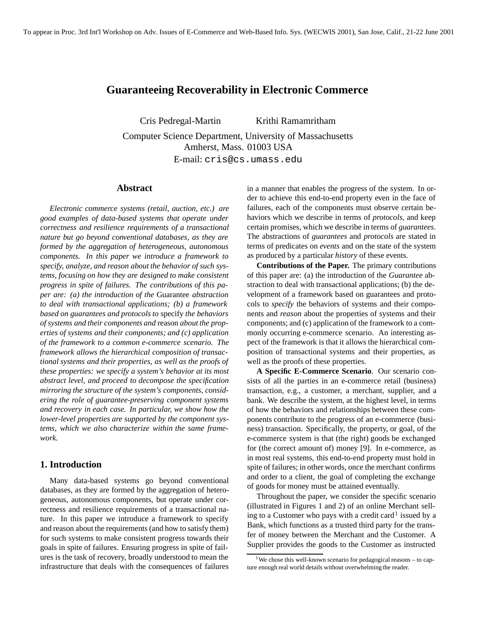# **Guaranteeing Recoverability in Electronic Commerce**

Cris Pedregal-Martin Krithi Ramamritham

Computer Science Department, University of Massachusetts Amherst, Mass. 01003 USA E-mail: cris@cs.umass.edu

### **Abstract**

*Electronic commerce systems (retail, auction, etc.) are good examples of data-based systems that operate under correctness and resilience requirements of a transactional nature but go beyond conventional databases, as they are formed by the aggregation of heterogeneous, autonomous components. In this paper we introduce a framework to specify, analyze, and reason about the behavior of such systems, focusing on how they are designed to make consistent progress in spite of failures. The contributions of this paper are: (a) the introduction of the* Guarantee *abstraction to deal with transactional applications; (b) a framework based on guarantees and protocols to* specify *the behaviors of systems and their components and* reason *about the properties of systems and their components; and (c) application of the framework to a common e-commerce scenario. The framework allows the hierarchical composition of transactional systems and their properties, as well as the proofs of these properties: we specify a system's behavior at its most abstract level, and proceed to decompose the specification mirroring the structure of the system's components, considering the role of guarantee-preserving component systems and recovery in each case. In particular, we show how the lower-level properties are supported by the component systems, which we also characterize within the same framework.*

# **1. Introduction**

Many data-based systems go beyond conventional databases, as they are formed by the aggregation of heterogeneous, autonomous components, but operate under correctness and resilience requirements of a transactional nature. In this paper we introduce a framework to specify and reason about the requirements (and how to satisfy them) for such systems to make consistent progress towards their goals in spite of failures. Ensuring progress in spite of failures is the task of recovery, broadly understood to mean the infrastructure that deals with the consequences of failures in a manner that enables the progress of the system. In order to achieve this end-to-end property even in the face of failures, each of the components must observe certain behaviors which we describe in terms of *protocols*, and keep certain promises, which we describe in terms of *guarantees*. The abstractions of *guarantees* and *protocols* are stated in terms of predicates on *events* and on the state of the system as produced by a particular *history* of these events.

**Contributions of the Paper.** The primary contributions of this paper are: (a) the introduction of the *Guarantee* abstraction to deal with transactional applications; (b) the development of a framework based on guarantees and protocols to *specify* the behaviors of systems and their components and *reason* about the properties of systems and their components; and (c) application of the framework to a commonly occurring e-commerce scenario. An interesting aspect of the framework is that it allows the hierarchical composition of transactional systems and their properties, as well as the proofs of these properties.

**A Specific E-Commerce Scenario**. Our scenario consists of all the parties in an e-commerce retail (business) transaction, e.g., a customer, a merchant, supplier, and a bank. We describe the system, at the highest level, in terms of how the behaviors and relationships between these components contribute to the progress of an e-commerce (business) transaction. Specifically, the property, or goal, of the e-commerce system is that (the right) goods be exchanged for (the correct amount of) money [9]. In e-commerce, as in most real systems, this end-to-end property must hold in spite of failures; in other words, once the merchant confirms and order to a client, the goal of completing the exchange of goods for money must be attained eventually.

Throughout the paper, we consider the specific scenario (illustrated in Figures 1 and 2) of an online Merchant selling to a Customer who pays with a credit card<sup>1</sup> issued by a Bank, which functions as a trusted third party for the transfer of money between the Merchant and the Customer. A Supplier provides the goods to the Customer as instructed

<sup>&</sup>lt;sup>1</sup>We chose this well-known scenario for pedagogical reasons – to capture enough real world details without overwhelming the reader.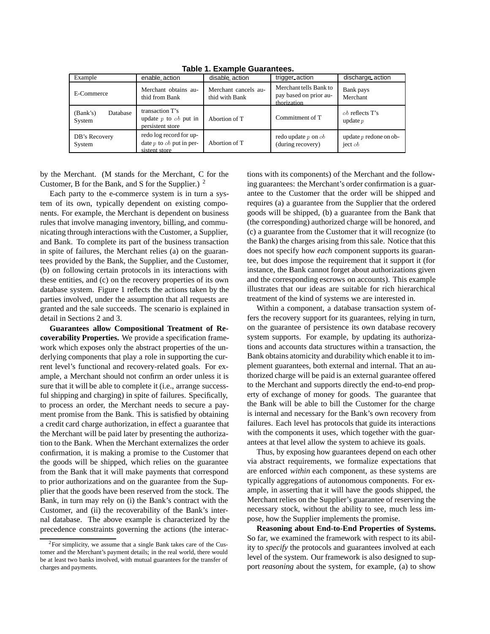| Example                        | enable_action                                                            | disable action                         | trigger action                                                  | discharge action                      |
|--------------------------------|--------------------------------------------------------------------------|----------------------------------------|-----------------------------------------------------------------|---------------------------------------|
| E-Commerce                     | Merchant obtains au-<br>thid from Bank                                   | Merchant cancels au-<br>thid with Bank | Merchant tells Bank to<br>pay based on prior au-<br>thorization | Bank pays<br>Merchant                 |
| Database<br>(Bank's)<br>System | transaction T's<br>update $p$ to $ob$ put in<br>persistent store         | Abortion of T                          | Commitment of T                                                 | $ob$ reflects $T$ 's<br>update $p$    |
| DB's Recovery<br>System        | redo log record for up-<br>date $p$ to $ob$ put in per-<br>sistent store | Abortion of T                          | redo update $p$ on $ob$<br>(during recovery)                    | update $p$ redone on ob-<br>ject $ob$ |

**Table 1. Example Guarantees.**

by the Merchant. (M stands for the Merchant, C for the Customer, B for the Bank, and S for the Supplier.)  $2^2$ 

Each party to the e-commerce system is in turn a system of its own, typically dependent on existing components. For example, the Merchant is dependent on business rules that involve managing inventory, billing, and communicating through interactions with the Customer, a Supplier, and Bank. To complete its part of the business transaction in spite of failures, the Merchant relies (a) on the guarantees provided by the Bank, the Supplier, and the Customer, (b) on following certain protocols in its interactions with these entities, and (c) on the recovery properties of its own database system. Figure 1 reflects the actions taken by the parties involved, under the assumption that all requests are granted and the sale succeeds. The scenario is explained in detail in Sections 2 and 3.

**Guarantees allow Compositional Treatment of Recoverability Properties.** We provide a specification framework which exposes only the abstract properties of the underlying components that play a role in supporting the current level's functional and recovery-related goals. For example, a Merchant should not confirm an order unless it is sure that it will be able to complete it (i.e., arrange successful shipping and charging) in spite of failures. Specifically, to process an order, the Merchant needs to secure a payment promise from the Bank. This is satisfied by obtaining a credit card charge authorization, in effect a guarantee that the Merchant will be paid later by presenting the authorization to the Bank. When the Merchant externalizes the order confirmation, it is making a promise to the Customer that the goods will be shipped, which relies on the guarantee from the Bank that it will make payments that correspond to prior authorizations and on the guarantee from the Supplier that the goods have been reserved from the stock. The Bank, in turn may rely on (i) the Bank's contract with the Customer, and (ii) the recoverability of the Bank's internal database. The above example is characterized by the precedence constraints governing the actions (the interactions with its components) of the Merchant and the following guarantees: the Merchant's order confirmation is a guarantee to the Customer that the order will be shipped and requires (a) a guarantee from the Supplier that the ordered goods will be shipped, (b) a guarantee from the Bank that (the corresponding) authorized charge will be honored, and (c) a guarantee from the Customer that it will recognize (to the Bank) the charges arising from this sale. Notice that this does not specify how *each* component supports its guarantee, but does impose the requirement that it support it (for instance, the Bank cannot forget about authorizations given and the corresponding escrows on accounts). This example illustrates that our ideas are suitable for rich hierarchical treatment of the kind of systems we are interested in.

Within a component, a database transaction system offers the recovery support for its guarantees, relying in turn, on the guarantee of persistence its own database recovery system supports. For example, by updating its authorizations and accounts data structures within a transaction, the Bank obtains atomicity and durability which enable it to implement guarantees, both external and internal. That an authorized charge will be paid is an external guarantee offered to the Merchant and supports directly the end-to-end property of exchange of money for goods. The guarantee that the Bank will be able to bill the Customer for the charge is internal and necessary for the Bank's own recovery from failures. Each level has protocols that guide its interactions with the components it uses, which together with the guarantees at that level allow the system to achieve its goals.

Thus, by exposing how guarantees depend on each other via abstract requirements, we formalize expectations that are enforced *within* each component, as these systems are typically aggregations of autonomous components. For example, in asserting that it will have the goods shipped, the Merchant relies on the Supplier's guarantee of reserving the necessary stock, without the ability to see, much less impose, how the Supplier implements the promise.

**Reasoning about End-to-End Properties of Systems.** So far, we examined the framework with respect to its ability to *specify* the protocols and guarantees involved at each level of the system. Our framework is also designed to support *reasoning* about the system, for example, (a) to show

 $2$ For simplicity, we assume that a single Bank takes care of the Customer and the Merchant's payment details; in the real world, there would be at least two banks involved, with mutual guarantees for the transfer of charges and payments.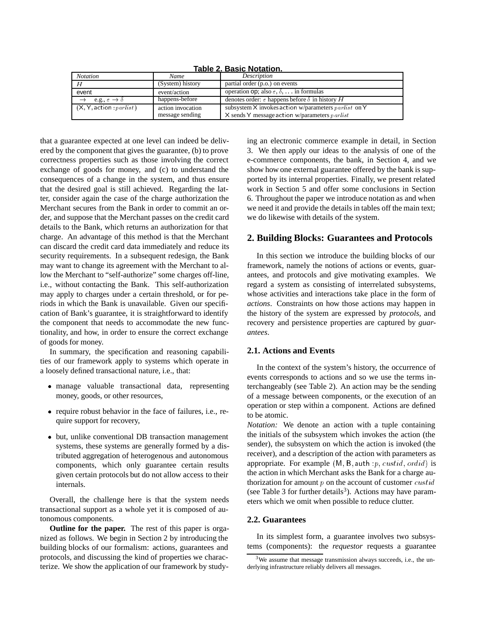**Table 2. Basic Notation.**

| <b>Notation</b>                         | Name              | <i>Description</i>                                                |
|-----------------------------------------|-------------------|-------------------------------------------------------------------|
|                                         | (System) history  | partial order (p.o.) on events                                    |
| event                                   | event/action      | operation op; also $\varepsilon$ , $\delta$ ,  in formulas        |
| e.g., $\varepsilon \to \delta$          | happens-before    | denotes order: $\varepsilon$ happens before $\delta$ in history H |
| $(X, Y, \text{action}: \text{parlist})$ | action invocation | subsystem X invokes action w/parameters $\frac{parlist}{}$ on Y   |
|                                         | message sending   | X sends Y message action $w/parameters$ parlist                   |

that a guarantee expected at one level can indeed be delivered by the component that gives the guarantee, (b) to prove correctness properties such as those involving the correct exchange of goods for money, and (c) to understand the consequences of a change in the system, and thus ensure that the desired goal is still achieved. Regarding the latter, consider again the case of the charge authorization the Merchant secures from the Bank in order to commit an order, and suppose that the Merchant passes on the credit card details to the Bank, which returns an authorization for that charge. An advantage of this method is that the Merchant can discard the credit card data immediately and reduce its security requirements. In a subsequent redesign, the Bank may want to change its agreement with the Merchant to allow the Merchant to "self-authorize" some charges off-line, i.e., without contacting the Bank. This self-authorization may apply to charges under a certain threshold, or for periods in which the Bank is unavailable. Given our specification of Bank's guarantee, it is straightforward to identify the component that needs to accommodate the new functionality, and how, in order to ensure the correct exchange of goods for money.

In summary, the specification and reasoning capabilities of our framework apply to systems which operate in a loosely defined transactional nature, i.e., that:

- manage valuable transactional data, representing money, goods, or other resources,
- require robust behavior in the face of failures, i.e., require support for recovery,
- but, unlike conventional DB transaction management systems, these systems are generally formed by a distributed aggregation of heterogenous and autonomous components, which only guarantee certain results given certain protocols but do not allow access to their internals.

Overall, the challenge here is that the system needs transactional support as a whole yet it is composed of autonomous components.

**Outline for the paper.** The rest of this paper is organized as follows. We begin in Section 2 by introducing the building blocks of our formalism: actions, guarantees and protocols, and discussing the kind of properties we characterize. We show the application of our framework by studying an electronic commerce example in detail, in Section 3. We then apply our ideas to the analysis of one of the e-commerce components, the bank, in Section 4, and we show how one external guarantee offered by the bank is supported by its internal properties. Finally, we present related work in Section 5 and offer some conclusions in Section 6. Throughout the paper we introduce notation as and when we need it and provide the details in tables off the main text; we do likewise with details of the system.

# **2. Building Blocks: Guarantees and Protocols**

In this section we introduce the building blocks of our framework, namely the notions of actions or events, guarantees, and protocols and give motivating examples. We regard a system as consisting of interrelated subsystems, whose activities and interactions take place in the form of *actions*. Constraints on how those actions may happen in the history of the system are expressed by *protocols*, and recovery and persistence properties are captured by *guarantees*.

### **2.1. Actions and Events**

In the context of the system's history, the occurrence of events corresponds to actions and so we use the terms interchangeably (see Table 2). An action may be the sending of a message between components, or the execution of an operation or step within a component. Actions are defined to be atomic.

*Notation:* We denote an action with a tuple containing the initials of the subsystem which invokes the action (the sender), the subsystem on which the action is invoked (the receiver), and a description of the action with parameters as appropriate. For example  $(M, B, \text{auth } : p, \text{custid}, \text{ordid})$  is the action in which Merchant asks the Bank for a charge authorization for amount  $p$  on the account of customer  $\emph{custid}$ (see Table 3 for further details<sup>3</sup>). Actions may have parameters which we omit when possible to reduce clutter.

### **2.2. Guarantees**

In its simplest form, a guarantee involves two subsystems (components): the *requestor* requests a guarantee

<sup>3</sup>We assume that message transmission always succeeds, i.e., the underlying infrastructure reliably delivers all messages.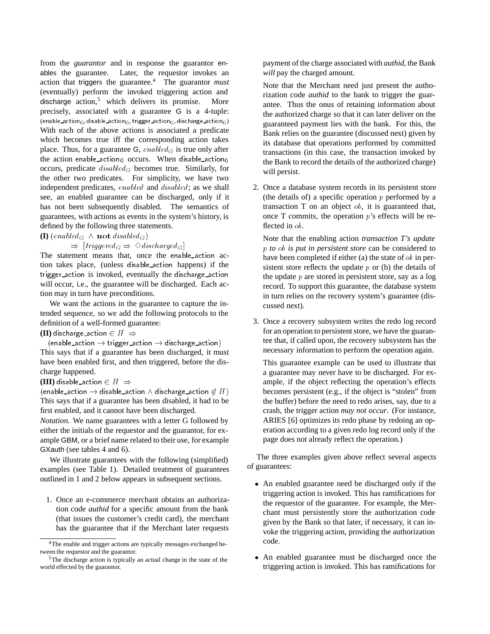from the *guarantor* and in response the guarantor enables the guarantee. Later, the requestor invokes an action that triggers the guarantee.4 The guarantor *must* (eventually) perform the invoked triggering action and discharge action, $5$  which delivers its promise. More precisely, associated with a guarantee G is a 4-tuple: 
With each of the above actions is associated a predicate which becomes true iff the corresponding action takes place. Thus, for a guarantee G,  $enabled_G$  is true only after the action enable action $_{\mathsf{G}}$  occurs. When disable action $_{\mathsf{G}}$ occurs, predicate  $disable \, d_G$  becomes true. Similarly, for the other two predicates. For simplicity, we have two independent predicates, enabled and disabled; as we shall see, an enabled guarantee can be discharged, only if it has not been subsequently disabled. The semantics of guarantees, with actions as events in the system's history, is defined by the following three statements.

 $\bf{(I)}$   $\it{(enabled}_G \wedge {\bf{not}}\; disabled_G)$ 

 $\Rightarrow$  [triggered<sub>*G*</sub>  $\Rightarrow$   $\Diamond$ *discharged<sub>G</sub>*]

The statement means that, once the enable\_action action takes place, (unless disable\_action happens) if the trigger action is invoked, eventually the discharge action will occur, i.e., the guarantee will be discharged. Each action may in turn have preconditions.

We want the actions in the guarantee to capture the intended sequence, so we add the following protocols to the definition of a well-formed guarantee:

### **(II)** discharge\_action  $\in$   $H \Rightarrow$

 This says that if a guarantee has been discharged, it must have been enabled first, and then triggered, before the discharge happened.

 $(\mathbf{III})$  disable\_action  $\in H$   $\;\Rightarrow$ 

    -   This says that if a guarantee has been disabled, it had to be first enabled, and it cannot have been discharged.

*Notation.* We name guarantees with a letter G followed by either the initials of the requestor and the guarantor, for example GBM, or a brief name related to their use, for example GXauth (see tables 4 and 6).

We illustrate guarantees with the following (simplified) examples (see Table 1). Detailed treatment of guarantees outlined in 1 and 2 below appears in subsequent sections.

1. Once an e-commerce merchant obtains an authorization code *authid* for a specific amount from the bank (that issues the customer's credit card), the merchant has the guarantee that if the Merchant later requests

payment of the charge associated with *authid*, the Bank *will* pay the charged amount.

Note that the Merchant need just present the authorization code *authid* to the bank to trigger the guarantee. Thus the onus of retaining information about the authorized charge so that it can later deliver on the guaranteed payment lies with the bank. For this, the Bank relies on the guarantee (discussed next) given by its database that operations performed by committed transactions (in this case, the transaction invoked by the Bank to record the details of the authorized charge) will persist.

2. Once a database system records in its persistent store (the details of) a specific operation  $p$  performed by a transaction T on an object  $ob$ , it is guaranteed that, once T commits, the operation  $p$ 's effects will be reflected in  $ob$ .

Note that the enabling action *transaction T's update* - *to is put in persistent store* can be considered to have been completed if either (a) the state of  $\delta b$  in persistent store reflects the update  $p$  or (b) the details of the update  $p$  are stored in persistent store, say as a log record. To support this guarantee, the database system in turn relies on the recovery system's guarantee (discussed next).

3. Once a recovery subsystem writes the redo log record for an operation to persistent store, we have the guarantee that, if called upon, the recovery subsystem has the necessary information to perform the operation again.

This guarantee example can be used to illustrate that a guarantee may never have to be discharged. For example, if the object reflecting the operation's effects becomes persistent (e.g., if the object is "stolen" from the buffer) before the need to redo arises, say, due to a crash, the trigger action *may not occur*. (For instance, ARIES [6] optimizes its redo phase by redoing an operation according to a given redo log record only if the page does not already reflect the operation.)

The three examples given above reflect several aspects of guarantees:

- An enabled guarantee need be discharged only if the triggering action is invoked. This has ramifications for the requestor of the guarantee. For example, the Merchant must persistently store the authorization code given by the Bank so that later, if necessary, it can invoke the triggering action, providing the authorization code.
- An enabled guarantee must be discharged once the triggering action is invoked. This has ramifications for

<sup>4</sup>The enable and trigger actions are typically messages exchanged between the requestor and the guarantor.

<sup>5</sup>The discharge action is typically an actual change in the state of the world effected by the guarantor.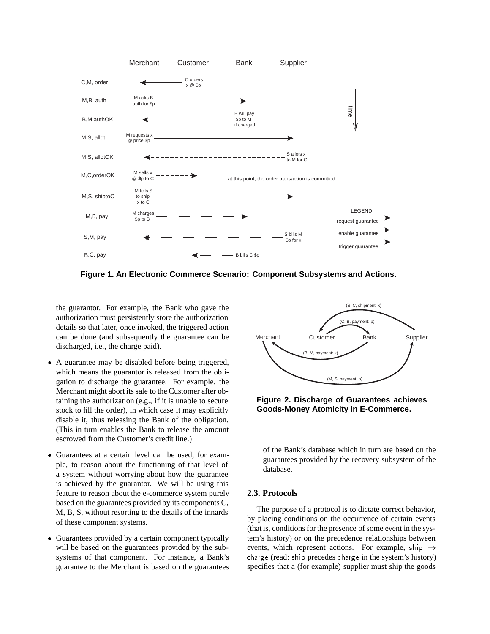

**Figure 1. An Electronic Commerce Scenario: Component Subsystems and Actions.**

the guarantor. For example, the Bank who gave the authorization must persistently store the authorization details so that later, once invoked, the triggered action can be done (and subsequently the guarantee can be discharged, i.e., the charge paid).

- A guarantee may be disabled before being triggered, which means the guarantor is released from the obligation to discharge the guarantee. For example, the Merchant might abort its sale to the Customer after obtaining the authorization (e.g., if it is unable to secure stock to fill the order), in which case it may explicitly disable it, thus releasing the Bank of the obligation. (This in turn enables the Bank to release the amount escrowed from the Customer's credit line.)
- Guarantees at a certain level can be used, for example, to reason about the functioning of that level of a system without worrying about how the guarantee is achieved by the guarantor. We will be using this feature to reason about the e-commerce system purely based on the guarantees provided by its components C, M, B, S, without resorting to the details of the innards of these component systems.
- Guarantees provided by a certain component typically will be based on the guarantees provided by the subsystems of that component. For instance, a Bank's guarantee to the Merchant is based on the guarantees



**Figure 2. Discharge of Guarantees achieves Goods-Money Atomicity in E-Commerce.**

of the Bank's database which in turn are based on the guarantees provided by the recovery subsystem of the database.

# **2.3. Protocols**

The purpose of a protocol is to dictate correct behavior, by placing conditions on the occurrence of certain events (that is, conditions for the presence of some event in the system's history) or on the precedence relationships between events, which represent actions. For example, ship  $\rightarrow$ charge (read: ship precedes charge in the system's history) specifies that a (for example) supplier must ship the goods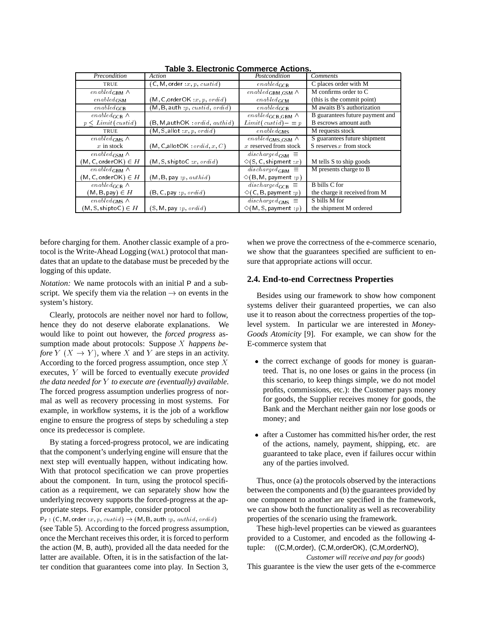|                                                                           | <u>rapie 5. Electronic Commerce Actions.</u>           |                                                                   |                                 |
|---------------------------------------------------------------------------|--------------------------------------------------------|-------------------------------------------------------------------|---------------------------------|
| Precondition                                                              | Action                                                 | Postcondition                                                     | <b>Comments</b>                 |
| TRUE                                                                      | (C, M, order : x, p, custid)                           | $en \, abled \, \epsilon$ <sub>GCB</sub>                          | C places order with M           |
| $en \, ab \, le \, d \, \text{GBM} \, \wedge$                             |                                                        | $\overline{en}$ abled GBM, GSM $\wedge$                           | M confirms order to C           |
| $en \, ab \, led \,$ GSM                                                  | $(M, C, \text{orderOK}: x, p, \text{ or } \text{did})$ | $en \, ab \, le \, d \, \epsilon$ CM                              | (this is the commit point)      |
| $en \, ab \, led \, \overline{G} \, \overline{C} \, \overline{B}$         | $(M, B, \text{auth}: p, \text{custid}, \text{ordid})$  | $en \, ab \, le \, d \, \overline{G} \, \mathbf{c} \, \mathbf{R}$ | M awaits B's authorization      |
| enabled $_{GCR} \wedge$                                                   |                                                        | en abled GCB.GBM $\wedge$                                         | B guarantees future payment and |
| $p \leq Limit(custid)$                                                    | $(B, M, \text{authOK}: \text{ordid}, \text{authid})$   | $Limit(custid) - p$                                               | B escrows amount auth           |
| TRUE                                                                      |                                                        | $enabeled$ GMS                                                    | M requests stock                |
| $\overline{enabled}_{GMS} \wedge$                                         |                                                        | $enabled_{\mathsf{GMS},\mathsf{GSM}}$ $\wedge$                    | S guarantees future shipment    |
| $x$ in stock                                                              | (M, C, allotOK : ordid, x, C)                          | $x$ reserved from stock                                           | S reserves $x$ from stock       |
| enabled $_{GSM} \wedge$                                                   |                                                        | $disch\,arg\,ed\,c\,sm \equiv$                                    |                                 |
| (M, C, orderOK) $\in H$                                                   |                                                        | $\Diamond$ (S, C, shipment :x)                                    | M tells S to ship goods         |
| enabled $G_{\mathbf{BM}}$ $\wedge$                                        |                                                        | $discharged_{GBM} \equiv$                                         | M presents charge to B          |
| (M, C, orderOK) $\in H$                                                   | (M, B, pay: p, authid)                                 | $\Diamond$ (B, M, payment: $p$ )                                  |                                 |
| en abled $_{GCR} \wedge$                                                  |                                                        | $discharged_{GCB} \equiv$                                         | B bills C for                   |
| $(\mathsf{M},\operatorname{\mathsf{B}},\operatorname{\mathsf{pay}})\in H$ | $(B, C, pay: p, \text{ } ordid)$                       | $\diamondsuit$ (C, B, payment :p)                                 | the charge it received from M   |
| $\overline{enabled}_{\mathsf{GMS}}$ $\wedge$                              |                                                        | $disch{arged}_{GMS} \equiv$                                       | S bills M for                   |
| $(\mathsf{M}, \mathsf{S}, \mathsf{shiptoC}) \in H$                        | $(S, M, pay: p, \text{ } ordid)$                       | $\diamondsuit$ (M, S, payment: <i>p</i> )                         | the shipment M ordered          |

**Table 3. Electronic Commerce Actions.**

before charging for them. Another classic example of a protocol is the Write-Ahead Logging (WAL) protocol that mandates that an update to the database must be preceded by the logging of this update.

*Notation:* We name protocols with an initial P and a subscript. We specify them via the relation  $\rightarrow$  on events in the system's history.

Clearly, protocols are neither novel nor hard to follow, hence they do not deserve elaborate explanations. We would like to point out however, the *forced progress* assumption made about protocols: Suppose *X happens before*  $Y(X \to Y)$ , where X and Y are steps in an activity. According to the forced progress assumption, once step  $X$ executes, Y will be forced to eventually execute *provided the data needed for to execute are (eventually) available*. The forced progress assumption underlies progress of normal as well as recovery processing in most systems. For example, in workflow systems, it is the job of a workflow engine to ensure the progress of steps by scheduling a step once its predecessor is complete.

By stating a forced-progress protocol, we are indicating that the component's underlying engine will ensure that the next step will eventually happen, without indicating how. With that protocol specification we can prove properties about the component. In turn, using the protocol specification as a requirement, we can separately show how the underlying recovery supports the forced-progress at the appropriate steps. For example, consider protocol

 $\cdots$ ,  $\cdots$ ,  $\cdots$ ,  $\cdots$ ,  $\cdots$ ,  $\cdots$ ,  $\cdots$ ,  $\cdots$ ,  $\cdots$ ,  $\cdots$ ,  $\cdots$ ,  $\cdots$ ,  $\cdots$ ,  $\cdots$ ,  $\cdots$ ,  $\cdots$ (see Table 5). According to the forced progress assumption, once the Merchant receives this order, it is forced to perform the action (M, B, auth), provided all the data needed for the latter are available. Often, it is in the satisfaction of the latter condition that guarantees come into play. In Section 3,

when we prove the correctness of the e-commerce scenario, we show that the guarantees specified are sufficient to ensure that appropriate actions will occur.

# **2.4. End-to-end Correctness Properties**

Besides using our framework to show how component systems deliver their guaranteed properties, we can also use it to reason about the correctness properties of the toplevel system. In particular we are interested in *Money-Goods Atomicity* [9]. For example, we can show for the E-commerce system that

- the correct exchange of goods for money is guaranteed. That is, no one loses or gains in the process (in this scenario, to keep things simple, we do not model profits, commissions, etc.): the Customer pays money for goods, the Supplier receives money for goods, the Bank and the Merchant neither gain nor lose goods or money; and
- after a Customer has committed his/her order, the rest of the actions, namely, payment, shipping, etc. are guaranteed to take place, even if failures occur within any of the parties involved.

Thus, once (a) the protocols observed by the interactions between the components and (b) the guarantees provided by one component to another are specified in the framework, we can show both the functionality as well as recoverability properties of the scenario using the framework.

These high-level properties can be viewed as guarantees provided to a Customer, and encoded as the following 4 tuple: ((C,M,order), (C,M,orderOK), (C,M,orderNO),

*Customer will receive and pay for goods*) This guarantee is the view the user gets of the e-commerce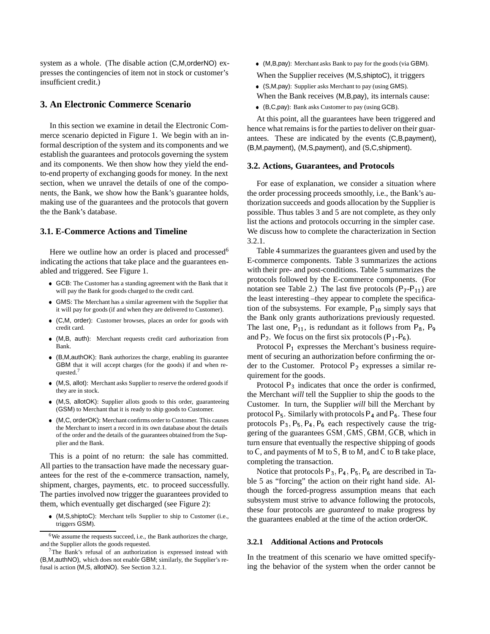system as a whole. (The disable action (C,M,orderNO) expresses the contingencies of item not in stock or customer's insufficient credit.)

# **3. An Electronic Commerce Scenario**

In this section we examine in detail the Electronic Commerce scenario depicted in Figure 1. We begin with an informal description of the system and its components and we establish the guarantees and protocols governing the system and its components. We then show how they yield the endto-end property of exchanging goods for money. In the next section, when we unravel the details of one of the components, the Bank, we show how the Bank's guarantee holds, making use of the guarantees and the protocols that govern the the Bank's database.

### **3.1. E-Commerce Actions and Timeline**

Here we outline how an order is placed and processed<sup>6</sup> indicating the actions that take place and the guarantees enabled and triggered. See Figure 1.

- GCB: The Customer has a standing agreement with the Bank that it will pay the Bank for goods charged to the credit card.
- GMS: The Merchant has a similar agreement with the Supplier that it will pay for goods (if and when they are delivered to Customer).
- (C,M, order): Customer browses, places an order for goods with credit card.
- (M,B, auth): Merchant requests credit card authorization from Bank.
- (B,M,authOK): Bank authorizes the charge, enabling its guarantee GBM that it will accept charges (for the goods) if and when requested.<sup>7</sup>
- (M,S, allot): Merchant asks Supplier to reserve the ordered goods if they are in stock.
- (M,S, allotOK): Supplier allots goods to this order, guaranteeing (GSM) to Merchant that it is ready to ship goods to Customer.
- (M,C, orderOK): Merchant confirms order to Customer. This causes the Merchant to insert a record in its own database about the details of the order and the details of the guarantees obtained from the Supplier and the Bank.

This is a point of no return: the sale has committed. All parties to the transaction have made the necessary guarantees for the rest of the e-commerce transaction, namely, shipment, charges, payments, etc. to proceed successfully. The parties involved now trigger the guarantees provided to them, which eventually get discharged (see Figure 2):

 (M,S,shiptoC): Merchant tells Supplier to ship to Customer (i.e., triggers GSM).

- (M,B,pay): Merchant asks Bank to pay for the goods (via GBM).
- When the Supplier receives (M,S,shiptoC), it triggers
- (S,M,pay): Supplier asks Merchant to pay (using GMS).
- When the Bank receives (M,B,pay), its internals cause:
- (B,C,pay): Bank asks Customer to pay (using GCB).

At this point, all the guarantees have been triggered and hence what remains is for the parties to deliver on their guarantees. These are indicated by the events (C,B,payment), (B,M,payment), (M,S,payment), and (S,C,shipment).

#### **3.2. Actions, Guarantees, and Protocols**

For ease of explanation, we consider a situation where the order processing proceeds smoothly, i.e., the Bank's authorization succeeds and goods allocation by the Supplier is possible. Thus tables 3 and 5 are not complete, as they only list the actions and protocols occurring in the simpler case. We discuss how to complete the characterization in Section 3.2.1.

Table 4 summarizes the guarantees given and used by the E-commerce components. Table 3 summarizes the actions with their pre- and post-conditions. Table 5 summarizes the protocols followed by the E-commerce components. (For notation see Table 2.) The last five protocols  $(P_7-P_{11})$  are the least interesting –they appear to complete the specification of the subsystems. For example,  $P_{10}$  simply says that the Bank only grants authorizations previously requested. The last one,  $P_{11}$ , is redundant as it follows from  $P_8$ ,  $P_9$ and  $P_2$ . We focus on the first six protocols ( $P_1$ - $P_6$ ).

Protocol  $P_1$  expresses the Merchant's business requirement of securing an authorization before confirming the order to the Customer. Protocol  $P_2$  expresses a similar requirement for the goods.

Protocol  $P_3$  indicates that once the order is confirmed, the Merchant *will* tell the Supplier to ship the goods to the Customer. In turn, the Supplier *will* bill the Merchant by protocol  $P_5$ . Similarly with protocols  $P_4$  and  $P_6$ . These four protocols  $P_3$ ,  $P_5$ ,  $P_4$ ,  $P_6$  each respectively cause the triggering of the guarantees GSM, GMS, GBM, GCB, which in turn ensure that eventually the respective shipping of goods to  $C$ , and payments of M to  $S$ , B to M, and  $C$  to B take place, completing the transaction.

Notice that protocols  $P_3$ ,  $P_4$ ,  $P_5$ ,  $P_6$  are described in Table 5 as "forcing" the action on their right hand side. Although the forced-progress assumption means that each subsystem must strive to advance following the protocols, these four protocols are *guaranteed* to make progress by the guarantees enabled at the time of the action orderOK.

#### **3.2.1 Additional Actions and Protocols**

In the treatment of this scenario we have omitted specifying the behavior of the system when the order cannot be

 $6$ We assume the requests succeed, i.e., the Bank authorizes the charge, and the Supplier allots the goods requested.

<sup>7</sup>The Bank's refusal of an authorization is expressed instead with (B,M,authNO), which does not enable GBM; similarly, the Supplier's refusal is action (M,S, allotNO). See Section 3.2.1.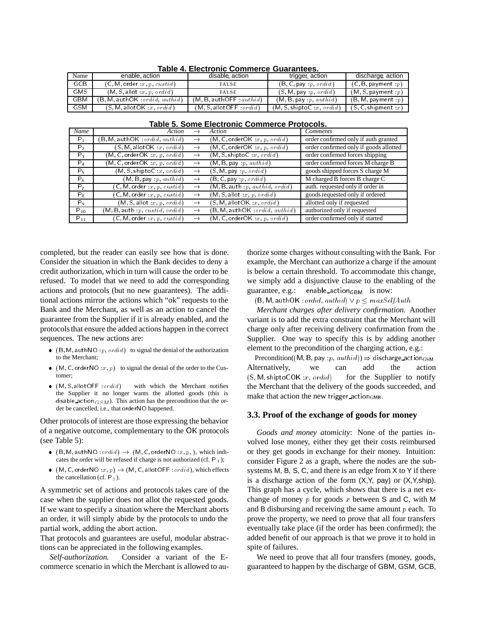| Name       | enable_action                             | disable action                     | trigger action                          | discharge action         |
|------------|-------------------------------------------|------------------------------------|-----------------------------------------|--------------------------|
| GCB.       | (C, M, order: x, p, custid)               | FALSE                              | (B, C, pay: p, ordid)                   | $(C, B,$ payment : $p$ ) |
| GMS.       | $(M, S, \text{allot}:x, p, \text{ordid})$ | <b>FALSE</b>                       | (S, M, pay: p, ordid)                   | $(M, S,$ payment: $p)$   |
| <b>GBM</b> | (B.M.authOK : <i>ordid.authid</i> ) =     | $(M. B.$ authOFF : <i>authid</i> ) | $(M, B, pay: p, \text{authid})$         | $(B, M,$ payment : $p$ ) |
| GSM        | $(S.M.$ allot $OK : x.$ ordid             | $(M. S.$ allotOFF:ordid)           | $(M, S,$ shipto $C: x, \mathit{ordid})$ | $(S, C,$ ship ment : x)  |

|  |  | Table 4. Electronic Commerce Guarantees. |
|--|--|------------------------------------------|
|  |  |                                          |

| <b>Name</b>    | Action                                                                                             |               | Action                                                   | Comments                               |
|----------------|----------------------------------------------------------------------------------------------------|---------------|----------------------------------------------------------|----------------------------------------|
| P <sub>1</sub> | $(B, M, \text{authOK}: \text{ordid}, \text{authid})$                                               | $\rightarrow$ | (M, C, orderOK: x, p, ordid)                             | order confirmed only if auth granted   |
| P <sub>2</sub> | $(S, M, \text{allotOK } : x, \text{ or } \text{did})$                                              | $\rightarrow$ | (M, C, orderOK: x, p, ordid)                             | order confirmed only if goods allotted |
| $P_3$          | (M, C, orderOK : x, p, ordid)                                                                      | $\rightarrow$ | $(M, S,$ shipto $C: x, \mathit{ordid})$                  | order confirmed forces shipping        |
| $P_{4}$        | $(\overline{\mathsf{M}}, \overline{\mathsf{C}}, \overline{\mathsf{orderOK}}:x, p, \mathit{ordid})$ | $\rightarrow$ | $(M, B, pay: p, \mathit{authid})$                        | order confirmed forces M charge B      |
| P <sub>F</sub> |                                                                                                    | $\rightarrow$ | $(S, M, pay: p, \text{ } ordid)$                         | goods shipped forces S charge M        |
| P6             | $(M, B, pay: p, \mathit{authid})$                                                                  | $\rightarrow$ |                                                          | M charged B forces B charge C          |
| P <sub>7</sub> | (C, M, order : x, p, custid)                                                                       | $\rightarrow$ | $(M, B, \text{auth}: p, \text{auth} : d, \text{ord} id)$ | auth. requested only if order in       |
| $P_8$          | $(\mathsf{C}, \mathsf{M}, \mathsf{order} : x, p, \mathit{custid})$                                 | $\rightarrow$ |                                                          | goods requested only if ordered        |
| P <sub>9</sub> | $(M, S, \text{allot}:x, p, \text{or} \text{did})$                                                  | $\rightarrow$ |                                                          | allotted only if requested             |
| $P_{10}$       | $(M, B, \text{auth}: p, \text{custid}, \text{ordid})$                                              | $\rightarrow$ | B, M, authOK :ordid, authid)                             | authorized only if requested           |
| $P_{11}$       | (C, M, order: x, p, custid)                                                                        | $\rightarrow$ | (M, C, orderOK : x, p, ordid)                            | order confirmed only if started        |

#### **Table 5. Some Electronic Commerce Protocols.**

completed, but the reader can easily see how that is done. Consider the situation in which the Bank decides to deny a credit authorization, which in turn will cause the order to be refused. To model that we need to add the corresponding actions and protocols (but no new guarantees). The additional actions mirror the actions which "ok" requests to the Bank and the Merchant, as well as an action to cancel the guarantee from the Supplier if it is already enabled, and the protocols that ensure the added actions happen in the correct sequences. The new actions are:

- to signal the denial of the authorization to the Merchant;
- $\bullet$  (M, C, order NO : x, p) to signal the denial of the order to the Customer;
- with which the Merchant notifies the Supplier it no longer wants the allotted goods (this is disable action  $_{GSM}$ ). This action has the precondition that the order be cancelled, i.e., that order NO happened.

Other protocols of interest are those expressing the behavior of a negative outcome, complementary to the OK protocols (see Table 5):

- $(B, M, \text{authNO}: \text{ord} \text{id}) \rightarrow (M, C, \text{orderNO}:x, p, )$ , which indicates the order will be refused if charge is not authorized (cf.  $P_1$ );
- $\bullet$   $(M, C, \text{orderNO} : x, p) \rightarrow (M, C, \text{allotOFF} : \text{ordid})$ , which effects the cancellation (cf.  $P_3$ ).

A symmetric set of actions and protocols takes care of the case when the supplier does not allot the requested goods. If we want to specify a situation where the Merchant aborts an order, it will simply abide by the protocols to undo the partial work, adding the abort action.

That protocols and guarantees are useful, modular abstractions can be appreciated in the following examples.

*Self-authorization.* Consider a variant of the Ecommerce scenario in which the Merchant is allowed to authorize some charges without consulting with the Bank. For example, the Merchant can authorize a charge if the amount is below a certain threshold. To accommodate this change, we simply add a disjunctive clause to the enabling of the guarantee, e.g.:  $enable_actionGBM$  is now:

- -- - - 

*Merchant charges after delivery confirmation.* Another variant is to add the extra constraint that the Merchant will charge only after receiving delivery confirmation from the Supplier. One way to specify this is by adding another element to the precondition of the charging action, e.g.:

Precondition((M, B, pay  $:p, \, authid)$ )  $\Rightarrow$  discharge action $_{\mathsf{GSM}}$ Alternatively, we can add the action -  - for the Supplier to notify the Merchant that the delivery of the goods succeeded, and make that action the new trigger action<sub>GMB</sub>.

# **3.3. Proof of the exchange of goods for money**

*Goods and money atomicity*: None of the parties involved lose money, either they get their costs reimbursed or they get goods in exchange for their money. Intuition: consider Figure 2 as a graph, where the nodes are the subsystems M, B, S, C, and there is an edge from X to Y if there is a discharge action of the form  $(X, Y, pay)$  or  $(X, Y, ship)$ . This graph has a cycle, which shows that there is a net exchange of money  $p$  for goods  $x$  between S and C, with M and B disbursing and receiving the same amount  $p$  each. To prove the property, we need to prove that all four transfers eventually take place (if the order has been confirmed); the added benefit of our approach is that we prove it to hold in spite of failures.

We need to prove that all four transfers (money, goods, guaranteed to happen by the discharge of GBM, GSM, GCB,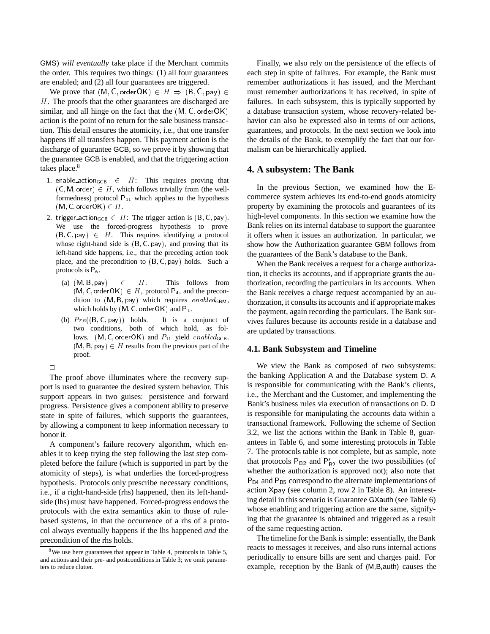GMS) *will eventually* take place if the Merchant commits the order. This requires two things: (1) all four guarantees are enabled; and (2) all four guarantees are triggered.

We prove that  $(M, C, \text{orderOK}) \in H \Rightarrow (B, C, \text{pay}) \in$ . The proofs that the other guarantees are discharged are similar, and all hinge on the fact that the  $(M, C, \text{orderOK})$ action is the point of no return for the sale business transaction. This detail ensures the atomicity, i.e., that one transfer happens iff all transfers happen. This payment action is the discharge of guarantee GCB, so we prove it by showing that the guarantee GCB is enabled, and that the triggering action takes place.<sup>8</sup>

- 1. enable action<sub>GCB</sub>  $\in$  H: This requires proving that  $(C, M, \text{order}) \in H$ , which follows trivially from (the wellformedness) protocol  $P_{11}$  which applies to the hypothesis  $(M, C, \text{orderOK}) \in H$ .
- 2. trigger\_action $_{GCB} \in H$ : The trigger action is  $(B, C, pay)$ . We use the forced-progress hypothesis to prove  $(B, C, pay) \in H$ . This requires identifying a protocol whose right-hand side is  $(B, C, pay)$ , and proving that its left-hand side happens, i.e., that the preceding action took place, and the precondition to  $(B, C, pay)$  holds. Such a protocols is  $P_6$ .
	- (a)  $(M, B, pay)$  $\in$  *H*. This follows from  $(M, C, \text{orderOK}) \in H$ , protocol  $P_4$ , and the precondition to  $(M, B, pay)$  which requires enabled<sub>GBM</sub>, which holds by  $(\sf M, \sf C,$  order $\sf OK)$  and  $\sf P_1.$
	- (b)  $Pre((B, C, pay))$  holds. It is a conjunct of two conditions, both of which hold, as follows.  $(\mathsf{M},\mathsf{C},\mathsf{orderOK})$  and  $P_{11}$  yield  $\mathit{enabled}_{\mathsf{GCB}}.$  $(M, B, pay) \in H$  results from the previous part of the proof.

The proof above illuminates where the recovery support is used to guarantee the desired system behavior. This support appears in two guises: persistence and forward progress. Persistence gives a component ability to preserve state in spite of failures, which supports the guarantees, by allowing a component to keep information necessary to honor it.

A component's failure recovery algorithm, which enables it to keep trying the step following the last step completed before the failure (which is supported in part by the atomicity of steps), is what underlies the forced-progress hypothesis. Protocols only prescribe necessary conditions, i.e., if a right-hand-side (rhs) happened, then its left-handside (lhs) must have happened. Forced-progress endows the protocols with the extra semantics akin to those of rulebased systems, in that the occurrence of a rhs of a protocol always eventually happens if the lhs happened *and* the precondition of the rhs holds.

Finally, we also rely on the persistence of the effects of each step in spite of failures. For example, the Bank must remember authorizations it has issued, and the Merchant must remember authorizations it has received, in spite of failures. In each subsystem, this is typically supported by a database transaction system, whose recovery-related behavior can also be expressed also in terms of our actions, guarantees, and protocols. In the next section we look into the details of the Bank, to exemplify the fact that our formalism can be hierarchically applied.

# **4. A subsystem: The Bank**

In the previous Section, we examined how the Ecommerce system achieves its end-to-end goods atomicity property by examining the protocols and guarantees of its high-level components. In this section we examine how the Bank relies on its internal database to support the guarantee it offers when it issues an authorization. In particular, we show how the Authorization guarantee GBM follows from the guarantees of the Bank's database to the Bank.

When the Bank receives a request for a charge authorization, it checks its accounts, and if appropriate grants the authorization, recording the particulars in its accounts. When the Bank receives a charge request accompanied by an authorization, it consults its accounts and if appropriate makes the payment, again recording the particulars. The Bank survives failures because its accounts reside in a database and are updated by transactions.

#### **4.1. Bank Subsystem and Timeline**

We view the Bank as composed of two subsystems: the banking Application A and the Database system D. A is responsible for communicating with the Bank's clients, i.e., the Merchant and the Customer, and implementing the Bank's business rules via execution of transactions on D. D is responsible for manipulating the accounts data within a transactional framework. Following the scheme of Section 3.2, we list the actions within the Bank in Table 8, guarantees in Table 6, and some interesting protocols in Table 7. The protocols table is not complete, but as sample, note that protocols  $P_{B2}$  and  $P'_{B2}$  cover the two possibilities (of whether the authorization is approved not); also note that P<sub>B4</sub> and P<sub>B5</sub> correspond to the alternate implementations of action  $X$ pay (see column 2, row 2 in Table 8). An interesting detail in this scenario is Guarantee GXauth (see Table 6) whose enabling and triggering action are the same, signifying that the guarantee is obtained and triggered as a result of the same requesting action.

The timeline for the Bank is simple: essentially, the Bank reacts to messages it receives, and also runs internal actions periodically to ensure bills are sent and charges paid. For example, reception by the Bank of (M,B,auth) causes the

 $\Box$ 

<sup>8</sup>We use here guarantees that appear in Table 4, protocols in Table 5, and actions and their pre- and postconditions in Table 3; we omit parameters to reduce clutter.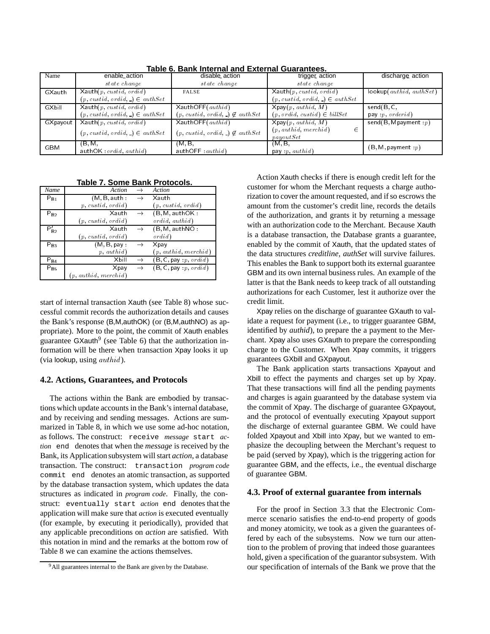| Name          | enable_action                                          | disable action                                             | trigger action                                                | discharge action                                     |
|---------------|--------------------------------------------------------|------------------------------------------------------------|---------------------------------------------------------------|------------------------------------------------------|
|               | state change                                           | state change                                               | state change                                                  |                                                      |
| <b>GXauth</b> | $X$ auth $(p, {\it custid}, {\it ordid})$              | FALSE                                                      | Xauth(p, custid, ordid)                                       | $\mathsf{lookup}(\mathit{authid}, \mathit{authSet})$ |
|               | $(p, {\it custid}, {\it ordid}, ) \in {\it authSet}$   |                                                            | $(p, {\it custid}, {\it ordid}, \square) \in {\it authorSet}$ |                                                      |
| GXbill        | $X$ auth $(p, custid, ordid)$                          | $X$ authOFF $(authid)$                                     | $\mathsf{Xpay}(p, \mathit{authid}, M)$                        | send (B, C,                                          |
|               | $(p, {\it custid}, {\it ordid}, \_) \in {\it authSet}$ | $(p, {\it custid}, {\it ordid}, ) \notin \textit{authSet}$ |                                                               | pay: p, orderid)                                     |
| GXpayout      | $X$ auth $(p, {\it custid}, {\it or did})$             | $X$ authOFF $(authid)$                                     | $X$ pay $(p, \text{authid}, M)$                               | send $(B, Mpa$ ment : $p)$                           |
|               | $(p, custid, ordid, ) \in authSet$                     | $(p, {\it custid}, {\it ordid}, \_) \notin {\it authSet}$  | $(p, \text{authid}, \text{merchid})$                          |                                                      |
|               |                                                        |                                                            | $p$ ayout $Set$                                               |                                                      |
| <b>GBM</b>    | (B, M,                                                 | (M.B.                                                      | (M, B,                                                        | $(B, M,$ payment: $p$ )                              |
|               | authOK : <i>ordid</i> , <i>authid</i> )                | authOFF : $authid)$                                        | pay $:p, authid)$                                             |                                                      |

**Table 6. Bank Internal and External Guarantees.**

**Table 7. Some Bank Protocols.**

| Name      | Action                              | $\rightarrow$ | Action                               |
|-----------|-------------------------------------|---------------|--------------------------------------|
| $P_{B1}$  | $(M, B, \text{auth}:$               | $\rightarrow$ | Xauth                                |
|           | p, custid, ordid)                   |               | (p, custid, ordid)                   |
| $P_{B2}$  | Xauth                               | $\rightarrow$ | $(B, M, \text{authOK}:$              |
|           | $(p, {\it custid}, {\it ordid})$    |               | $\it{ordid}, \it{authid}$            |
| $P'_{B2}$ | Xauth                               | $\rightarrow$ | $(B, M, \text{authNO}:$              |
|           | $(p, {\it custid}, {\it ordid})$    |               | $\it{ordid}$ )                       |
| $P_{B3}$  | $\overline{\mathsf{(M)}}$ , B, pay: | $\rightarrow$ | Xpay                                 |
|           | $p, \text{authid}$                  |               | $(p, \text{authid}, \text{merchid})$ |
| $P_{B4}$  | Xbill                               |               | (B, C, pay: p, ordid)                |
| $P_{B5}$  | Храу                                |               | (B, C, pay: p, ordid)                |
|           | (p, authid, merchid)                |               |                                      |

start of internal transaction Xauth (see Table 8) whose successful commit records the authorization details and causes the Bank's response (B,M,authOK) (or (B,M,authNO) as appropriate). More to the point, the commit of Xauth enables guarantee  $GXauth<sup>9</sup>$  (see Table 6) that the authorization information will be there when transaction Xpay looks it up (via lookup, using  $\mathit{authid}$ ).

# **4.2. Actions, Guarantees, and Protocols**

The actions within the Bank are embodied by transactions which update accounts in the Bank's internal database, and by receiving and sending messages. Actions are summarized in Table 8, in which we use some ad-hoc notation, as follows. The construct: receive *message* start *action* end denotes that when the *message* is received by the Bank, its Application subsystem will start *action*, a database transaction. The construct: transaction *program code* commit end denotes an atomic transaction, as supported by the database transaction system, which updates the data structures as indicated in *program code*. Finally, the construct: eventually start *action* end denotes that the application will make sure that *action* is executed eventually (for example, by executing it periodically), provided that any applicable preconditions on *action* are satisfied. With this notation in mind and the remarks at the bottom row of Table 8 we can examine the actions themselves.

Action Xauth checks if there is enough credit left for the customer for whom the Merchant requests a charge authorization to cover the amount requested, and if so escrows the amount from the customer's credit line, records the details of the authorization, and grants it by returning a message with an authorization code to the Merchant. Because Xauth is a database transaction, the Database grants a guarantee, enabled by the commit of Xauth, that the updated states of the data structures *creditline, authSet* will survive failures. This enables the Bank to support both its external guarantee GBM and its own internal business rules. An example of the latter is that the Bank needs to keep track of all outstanding authorizations for each Customer, lest it authorize over the credit limit.

Xpay relies on the discharge of guarantee GXauth to validate a request for payment (i.e., to trigger guarantee GBM, identified by *authid*), to prepare the a payment to the Merchant. Xpay also uses GXauth to prepare the corresponding charge to the Customer. When Xpay commits, it triggers guarantees GXbill and GXpayout.

The Bank application starts transactions Xpayout and Xbill to effect the payments and charges set up by Xpay. That these transactions will find all the pending payments and charges is again guaranteed by the database system via the commit of Xpay. The discharge of guarantee GXpayout, and the protocol of eventually executing Xpayout support the discharge of external guarantee GBM. We could have folded Xpayout and Xbill into Xpay, but we wanted to emphasize the decoupling between the Merchant's request to be paid (served by Xpay), which is the triggering action for guarantee GBM, and the effects, i.e., the eventual discharge of guarantee GBM.

# **4.3. Proof of external guarantee from internals**

For the proof in Section 3.3 that the Electronic Commerce scenario satisfies the end-to-end property of goods and money atomicity, we took as a given the guarantees offered by each of the subsystems. Now we turn our attention to the problem of proving that indeed those guarantees hold, given a specification of the guarantor subsystem. With our specification of internals of the Bank we prove that the

<sup>&</sup>lt;sup>9</sup>All guarantees internal to the Bank are given by the Database.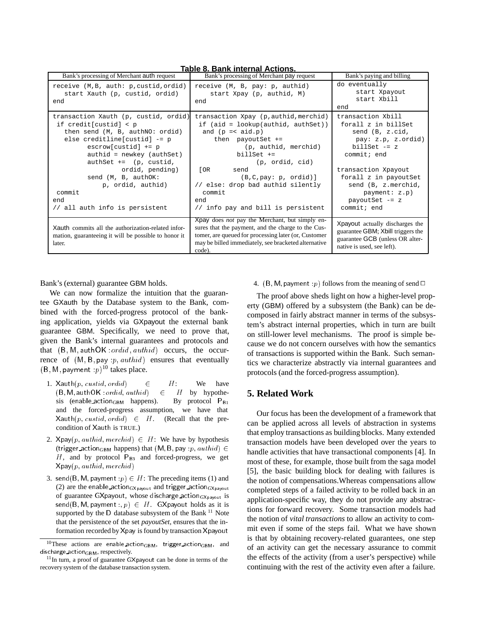| Bank's processing of Merchant auth request                                                                                                                                                                           | Bank's processing of Merchant pay request                                                                                                                                                                                             | Bank's paying and billing                                                                                                             |
|----------------------------------------------------------------------------------------------------------------------------------------------------------------------------------------------------------------------|---------------------------------------------------------------------------------------------------------------------------------------------------------------------------------------------------------------------------------------|---------------------------------------------------------------------------------------------------------------------------------------|
| receive (M, B, auth: p, custid, ordid)<br>start Xauth (p, custid, ordid)<br>end                                                                                                                                      | receive (M, B, pay: p, authid)<br>start Xpay (p, authid, M)<br>end                                                                                                                                                                    | do eventually<br>start Xpayout<br>start Xbill<br>end                                                                                  |
| transaction Xauth (p, custid, ordid)<br>if $credit(custid) < p$<br>then send (M, B, authNO: ordid)<br>else creditline[custid] -= p<br>$escrow(custid) += p$<br>authid = newkey (authSet)<br>$authSet += (p, custid,$ | transaction Xpay (p, authid, merchid)<br>if $(aid = lookup(authid,authSet))$<br>and $(p == aid.p)$<br>then $payoutSet +=$<br>(p, authid, merchid)<br>$billSet +=$<br>(p, ordid, cid)                                                  | transaction Xbill<br>forall z in billSet<br>send (B, z.cid,<br>pay: z.p, z.ordid)<br>$billeset -= z$<br>commit: end                   |
| ordid, pending)<br>send (M, B, authOK:<br>p, ordid, authid)<br>commit<br>end<br>// all auth info is persistent                                                                                                       | [ OR<br>send<br>(B,C, pay: p, ordid)]<br>// else: drop bad authid silently<br>commit<br>end<br>info pay and bill is persistent<br>$\frac{1}{2}$                                                                                       | transaction Xpayout<br>forall z in payoutSet<br>send (B, z.merchid,<br>payment: z.p)<br>payoutSet -= z<br>commit: end                 |
| Xauth commits all the authorization-related infor-<br>mation, guaranteeing it will be possible to honor it<br>later.                                                                                                 | Xpay does <i>not</i> pay the Merchant, but simply en-<br>sures that the payment, and the charge to the Cus-<br>tomer, are queued for processing later (or, Customer<br>may be billed immediately, see bracketed alternative<br>code). | Xpayout actually discharges the<br>guarantee GBM; Xbill triggers the<br>guarantee GCB (unless OR alter-<br>native is used, see left). |

**Table 8. Bank internal Actions.**

Bank's (external) guarantee GBM holds.

We can now formalize the intuition that the guarantee GXauth by the Database system to the Bank, combined with the forced-progress protocol of the banking application, yields via GXpayout the external bank guarantee GBM. Specifically, we need to prove that, given the Bank's internal guarantees and protocols and that  $(B, M, \text{authOK } : \text{ordid}, \text{authid})$  occurs, the occurrence of  $(M, B, pay: p, \text{authid})$  ensures that eventually  $(B, M,$  payment : $p)$ <sup>10</sup> takes place.

- 1. Xauth $(p, {\it custid}, {\it or}$  $\in$  H: We have - -- $\in$  *H* by hypothesis (enable\_action<sub>GBM</sub> happens). By protocol  $P_{B1}$ and the forced-progress assumption, we have that  $\mathsf{Xauth}(p, \mathit{custid}, \mathit{ordid}) \in H.$  (Recall that the precondition of Xauth is TRUE.)
- 2. Xpay(p, authid, merchid)  $\in$  H: We have by hypothesis (trigger\_action<sub>GBM</sub> happens) that  $(\mathsf{M},\mathsf{B},\mathsf{pay}:p,\mathit{authid}) \in$  $H$ , and by protocol  $P_{B3}$  and forced-progress, we get - -
- 3.  $\;$  send $(\mathsf B,\mathsf M,\mathsf p$ ayment : $p)\in H\colon$  The preceding items  $(1)$  and (2) are the enable action  $G_{X\text{payout}}$  and trigger action  $G_{X\text{payout}}$ of guarantee GXpayout, whose discharge action  $\sigma_{\text{Xpayout}}$  is send(B, M, payment :,  $p$ )  $\in$   $H$ . GXpayout holds as it is supported by the  $D$  database subsystem of the Bank  $^{11}$  Note that the persistence of the set *payoutSet*, ensures that the information recorded by Xpay is found by transaction Xpayout

# 4.  $(\mathsf{B},\mathsf{M},\mathsf{payment}:p)$  follows from the meaning of send  $\Box$

The proof above sheds light on how a higher-level property (GBM) offered by a subsystem (the Bank) can be decomposed in fairly abstract manner in terms of the subsystem's abstract internal properties, which in turn are built on still-lower level mechanisms. The proof is simple because we do not concern ourselves with how the semantics of transactions is supported within the Bank. Such semantics we characterize abstractly via internal guarantees and protocols (and the forced-progress assumption).

# **5. Related Work**

Our focus has been the development of a framework that can be applied across all levels of abstraction in systems that employ transactions as building blocks. Many extended transaction models have been developed over the years to handle activities that have transactional components [4]. In most of these, for example, those built from the saga model [5], the basic building block for dealing with failures is the notion of compensations.Whereas compensations allow completed steps of a failed activity to be rolled back in an application-specific way, they do not provide any abstractions for forward recovery. Some transaction models had the notion of *vital transactions* to allow an activity to commit even if some of the steps fail. What we have shown is that by obtaining recovery-related guarantees, one step of an activity can get the necessary assurance to commit the effects of the activity (from a user's perspective) while continuing with the rest of the activity even after a failure.

<sup>&</sup>lt;sup>10</sup>These actions are enable action<sub>GBM</sub>, trigger action<sub>GBM</sub>, and  $discharge_{{\bf 2}}$  ction $_{GBM}$ , respectively.

 $11$ In turn, a proof of guarantee GXpayout can be done in terms of the recovery system of the database transaction system.